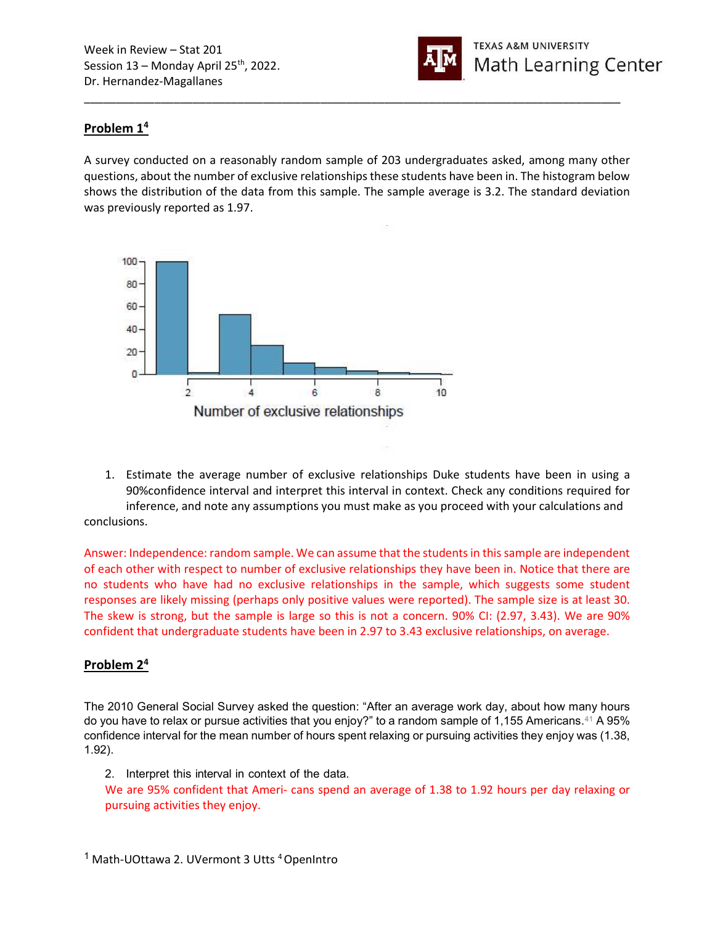

## Problem 1<sup>4</sup>

A survey conducted on a reasonably random sample of 203 undergraduates asked, among many other questions, about the number of exclusive relationships these students have been in. The histogram below shows the distribution of the data from this sample. The sample average is 3.2. The standard deviation was previously reported as 1.97.

\_\_\_\_\_\_\_\_\_\_\_\_\_\_\_\_\_\_\_\_\_\_\_\_\_\_\_\_\_\_\_\_\_\_\_\_\_\_\_\_\_\_\_\_\_\_\_\_\_\_\_\_\_\_\_\_\_\_\_\_\_\_\_\_\_\_\_\_\_\_\_\_\_\_\_\_\_\_\_\_\_\_\_\_



1. Estimate the average number of exclusive relationships Duke students have been in using a 90%confidence interval and interpret this interval in context. Check any conditions required for inference, and note any assumptions you must make as you proceed with your calculations and conclusions.

Answer: Independence: random sample. We can assume that the students in this sample are independent of each other with respect to number of exclusive relationships they have been in. Notice that there are no students who have had no exclusive relationships in the sample, which suggests some student responses are likely missing (perhaps only positive values were reported). The sample size is at least 30. The skew is strong, but the sample is large so this is not a concern. 90% CI: (2.97, 3.43). We are 90% confident that undergraduate students have been in 2.97 to 3.43 exclusive relationships, on average.

#### Problem 2<sup>4</sup>

The 2010 General Social Survey asked the question: "After an average work day, about how many hours do you have to relax or pursue activities that you enjoy?" to a random sample of 1,155 Americans.<sup>41</sup> A 95% confidence interval for the mean number of hours spent relaxing or pursuing activities they enjoy was (1.38, 1.92).

2. Interpret this interval in context of the data.

We are 95% confident that Ameri- cans spend an average of 1.38 to 1.92 hours per day relaxing or pursuing activities they enjoy.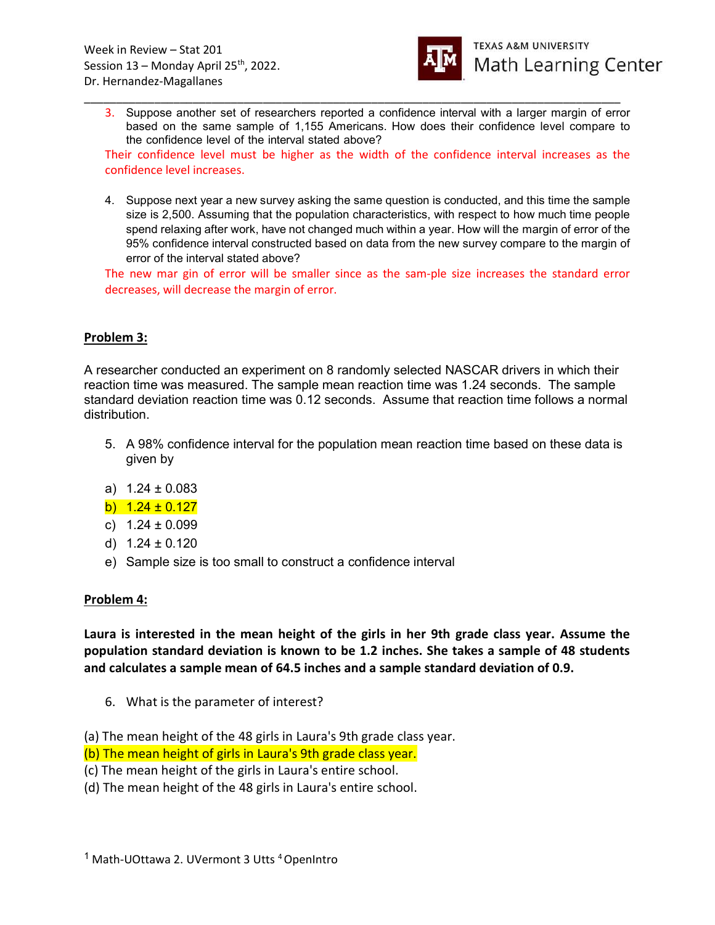

3. Suppose another set of researchers reported a confidence interval with a larger margin of error based on the same sample of 1,155 Americans. How does their confidence level compare to the confidence level of the interval stated above?

\_\_\_\_\_\_\_\_\_\_\_\_\_\_\_\_\_\_\_\_\_\_\_\_\_\_\_\_\_\_\_\_\_\_\_\_\_\_\_\_\_\_\_\_\_\_\_\_\_\_\_\_\_\_\_\_\_\_\_\_\_\_\_\_\_\_\_\_\_\_\_\_\_\_\_\_\_\_\_\_\_\_\_\_

Their confidence level must be higher as the width of the confidence interval increases as the confidence level increases.

4. Suppose next year a new survey asking the same question is conducted, and this time the sample size is 2,500. Assuming that the population characteristics, with respect to how much time people spend relaxing after work, have not changed much within a year. How will the margin of error of the 95% confidence interval constructed based on data from the new survey compare to the margin of error of the interval stated above?

The new mar gin of error will be smaller since as the sam-ple size increases the standard error decreases, will decrease the margin of error.

### Problem 3:

A researcher conducted an experiment on 8 randomly selected NASCAR drivers in which their reaction time was measured. The sample mean reaction time was 1.24 seconds. The sample standard deviation reaction time was 0.12 seconds. Assume that reaction time follows a normal distribution.

- 5. A 98% confidence interval for the population mean reaction time based on these data is given by
- a) 1.24 ± 0.083
- b)  $1.24 \pm 0.127$
- c)  $1.24 \pm 0.099$
- d)  $1.24 \pm 0.120$
- e) Sample size is too small to construct a confidence interval

#### Problem 4:

Laura is interested in the mean height of the girls in her 9th grade class year. Assume the population standard deviation is known to be 1.2 inches. She takes a sample of 48 students and calculates a sample mean of 64.5 inches and a sample standard deviation of 0.9.

6. What is the parameter of interest?

(a) The mean height of the 48 girls in Laura's 9th grade class year.

(b) The mean height of girls in Laura's 9th grade class year.

(c) The mean height of the girls in Laura's entire school.

(d) The mean height of the 48 girls in Laura's entire school.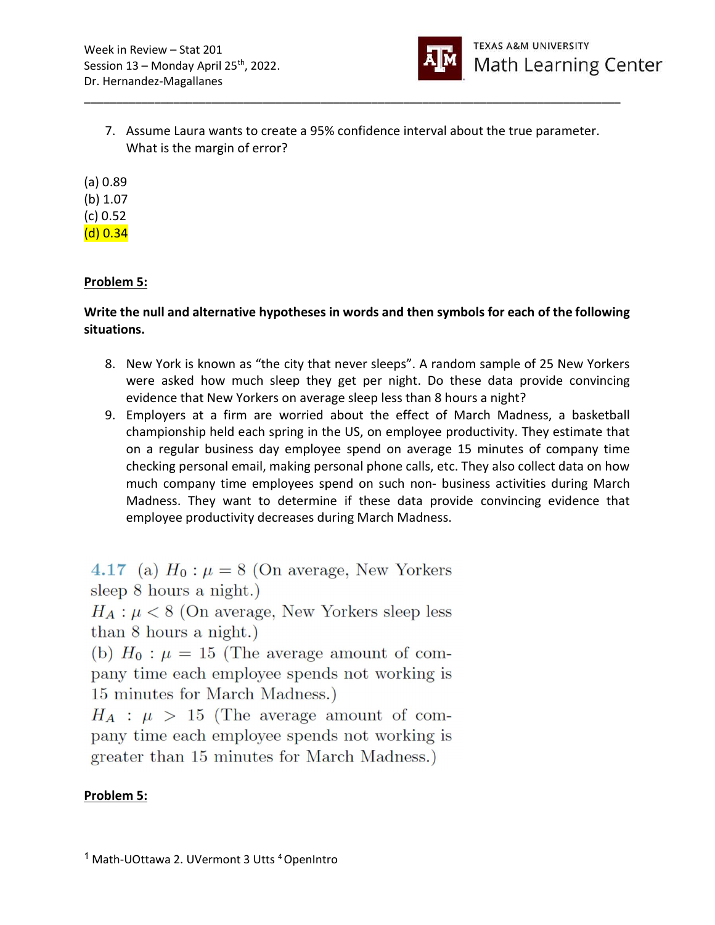

7. Assume Laura wants to create a 95% confidence interval about the true parameter. What is the margin of error?

\_\_\_\_\_\_\_\_\_\_\_\_\_\_\_\_\_\_\_\_\_\_\_\_\_\_\_\_\_\_\_\_\_\_\_\_\_\_\_\_\_\_\_\_\_\_\_\_\_\_\_\_\_\_\_\_\_\_\_\_\_\_\_\_\_\_\_\_\_\_\_\_\_\_\_\_\_\_\_\_\_\_\_\_

(a) 0.89 (b) 1.07 (c) 0.52 (d) 0.34

# Problem 5:

Write the null and alternative hypotheses in words and then symbols for each of the following situations.

- 8. New York is known as "the city that never sleeps". A random sample of 25 New Yorkers were asked how much sleep they get per night. Do these data provide convincing evidence that New Yorkers on average sleep less than 8 hours a night?
- 9. Employers at a firm are worried about the effect of March Madness, a basketball championship held each spring in the US, on employee productivity. They estimate that on a regular business day employee spend on average 15 minutes of company time checking personal email, making personal phone calls, etc. They also collect data on how much company time employees spend on such non- business activities during March Madness. They want to determine if these data provide convincing evidence that employee productivity decreases during March Madness.

4.17 (a)  $H_0: \mu = 8$  (On average, New Yorkers sleep  $8$  hours a night.)

 $H_A: \mu < 8$  (On average, New Yorkers sleep less than 8 hours a night.)

(b)  $H_0: \mu = 15$  (The average amount of company time each employee spends not working is 15 minutes for March Madness.)

 $H_A$ :  $\mu > 15$  (The average amount of company time each employee spends not working is greater than 15 minutes for March Madness.)

# Problem 5: